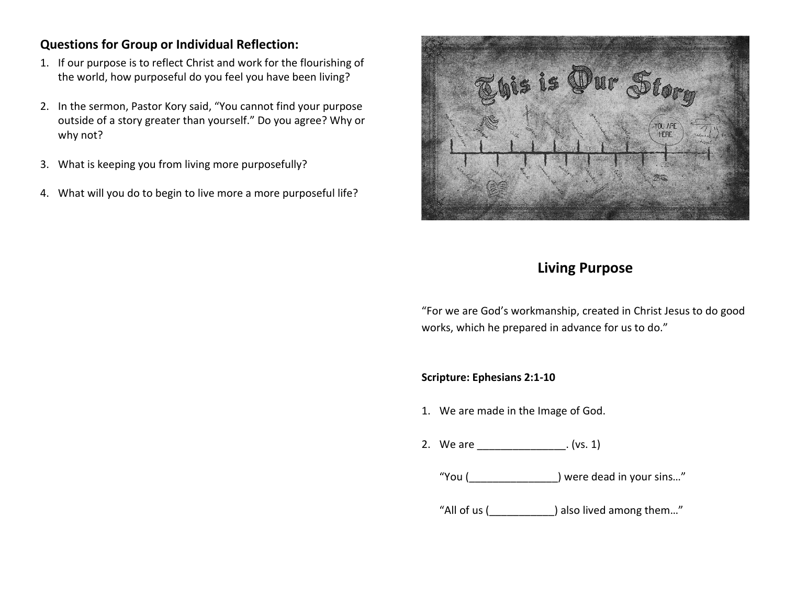## **Questions for Group or Individual Reflection:**

- 1. If our purpose is to reflect Christ and work for the flourishing of the world, how purposeful do you feel you have been living?
- 2. In the sermon, Pastor Kory said, "You cannot find your purpose outside of a story greater than yourself." Do you agree? Why or why not?
- 3. What is keeping you from living more purposefully?
- 4. What will you do to begin to live more a more purposeful life?



## **Living Purpose**

"For we are God's workmanship, created in Christ Jesus to do good works, which he prepared in advance for us to do."

**Scripture: Ephesians 2:1-10**

- 1. We are made in the Image of God.
- 2. We are  $(vs. 1)$ 
	- "You (\_\_\_\_\_\_\_\_\_\_\_\_\_\_\_) were dead in your sins…"

"All of us (\_\_\_\_\_\_\_\_\_\_\_) also lived among them…"